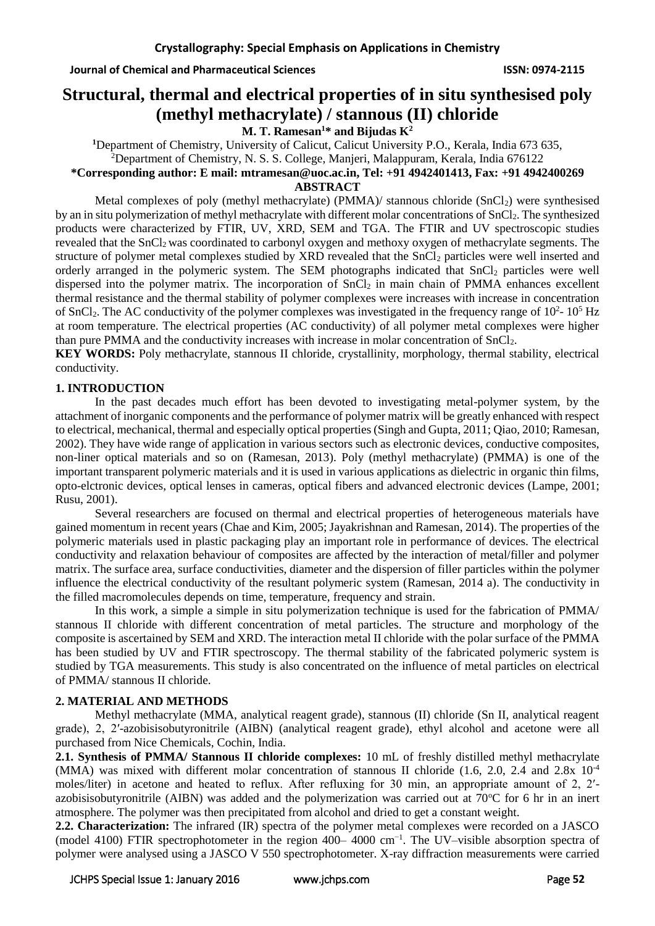# **Structural, thermal and electrical properties of in situ synthesised poly (methyl methacrylate) / stannous (II) chloride**

**M. T. Ramesan<sup>1</sup>\* and Bijudas K<sup>2</sup>**

**<sup>1</sup>**Department of Chemistry, University of Calicut, Calicut University P.O., Kerala, India 673 635, <sup>2</sup>Department of Chemistry, N. S. S. College, Manjeri, Malappuram, Kerala, India 676122

**\*Corresponding author: E mail: [mtramesan@uoc.ac.in,](mailto:mtramesan@uoc.ac.in) Tel: +91 4942401413, Fax: +91 4942400269**

#### **ABSTRACT**

Metal complexes of poly (methyl methacrylate) (PMMA)/ stannous chloride (SnCl<sub>2</sub>) were synthesised by an in situ polymerization of methyl methacrylate with different molar concentrations of SnCl<sub>2</sub>. The synthesized products were characterized by FTIR, UV, XRD, SEM and TGA. The FTIR and UV spectroscopic studies revealed that the SnCl<sub>2</sub> was coordinated to carbonyl oxygen and methoxy oxygen of methacrylate segments. The structure of polymer metal complexes studied by XRD revealed that the SnCl<sub>2</sub> particles were well inserted and orderly arranged in the polymeric system. The SEM photographs indicated that SnCl<sub>2</sub> particles were well dispersed into the polymer matrix. The incorporation of SnCl<sub>2</sub> in main chain of PMMA enhances excellent thermal resistance and the thermal stability of polymer complexes were increases with increase in concentration of SnCl<sub>2</sub>. The AC conductivity of the polymer complexes was investigated in the frequency range of  $10^2$ -  $10^5$  Hz at room temperature. The electrical properties (AC conductivity) of all polymer metal complexes were higher than pure PMMA and the conductivity increases with increase in molar concentration of  $SnCl<sub>2</sub>$ .

**KEY WORDS:** Poly methacrylate, stannous II chloride, crystallinity, morphology, thermal stability, electrical conductivity.

### **1. INTRODUCTION**

In the past decades much effort has been devoted to investigating metal-polymer system, by the attachment of inorganic components and the performance of polymer matrix will be greatly enhanced with respect to electrical, mechanical, thermal and especially optical properties (Singh and Gupta, 2011; Qiao, 2010; Ramesan, 2002). They have wide range of application in various sectors such as electronic devices, conductive composites, non-liner optical materials and so on (Ramesan, 2013). Poly (methyl methacrylate) (PMMA) is one of the important transparent polymeric materials and it is used in various applications as dielectric in organic thin films, opto-elctronic devices, optical lenses in cameras, optical fibers and advanced electronic devices (Lampe, 2001; Rusu, 2001).

Several researchers are focused on thermal and electrical properties of heterogeneous materials have gained momentum in recent years (Chae and Kim, 2005; Jayakrishnan and Ramesan, 2014). The properties of the polymeric materials used in plastic packaging play an important role in performance of devices. The electrical conductivity and relaxation behaviour of composites are affected by the interaction of metal/filler and polymer matrix. The surface area, surface conductivities, diameter and the dispersion of filler particles within the polymer influence the electrical conductivity of the resultant polymeric system (Ramesan, 2014 a). The conductivity in the filled macromolecules depends on time, temperature, frequency and strain.

In this work, a simple a simple in situ polymerization technique is used for the fabrication of PMMA/ stannous II chloride with different concentration of metal particles. The structure and morphology of the composite is ascertained by SEM and XRD. The interaction metal II chloride with the polar surface of the PMMA has been studied by UV and FTIR spectroscopy. The thermal stability of the fabricated polymeric system is studied by TGA measurements. This study is also concentrated on the influence of metal particles on electrical of PMMA/ stannous II chloride.

# **2. MATERIAL AND METHODS**

Methyl methacrylate (MMA, analytical reagent grade), stannous (II) chloride (Sn II, analytical reagent grade), 2, 2′-azobisisobutyronitrile (AIBN) (analytical reagent grade), ethyl alcohol and acetone were all purchased from Nice Chemicals, Cochin, India.

**2.1. Synthesis of PMMA/ Stannous II chloride complexes:** 10 mL of freshly distilled methyl methacrylate (MMA) was mixed with different molar concentration of stannous II chloride (1.6, 2.0, 2.4 and 2.8x 10-4 moles/liter) in acetone and heated to reflux. After refluxing for 30 min, an appropriate amount of 2, 2′ azobisisobutyronitrile (AIBN) was added and the polymerization was carried out at  $70^{\circ}$ C for 6 hr in an inert atmosphere. The polymer was then precipitated from alcohol and dried to get a constant weight.

**2.2. Characterization:** The infrared (IR) spectra of the polymer metal complexes were recorded on a JASCO (model 4100) FTIR spectrophotometer in the region 400– 4000 cm<sup>-1</sup>. The UV–visible absorption spectra of polymer were analysed using a JASCO V 550 spectrophotometer. X-ray diffraction measurements were carried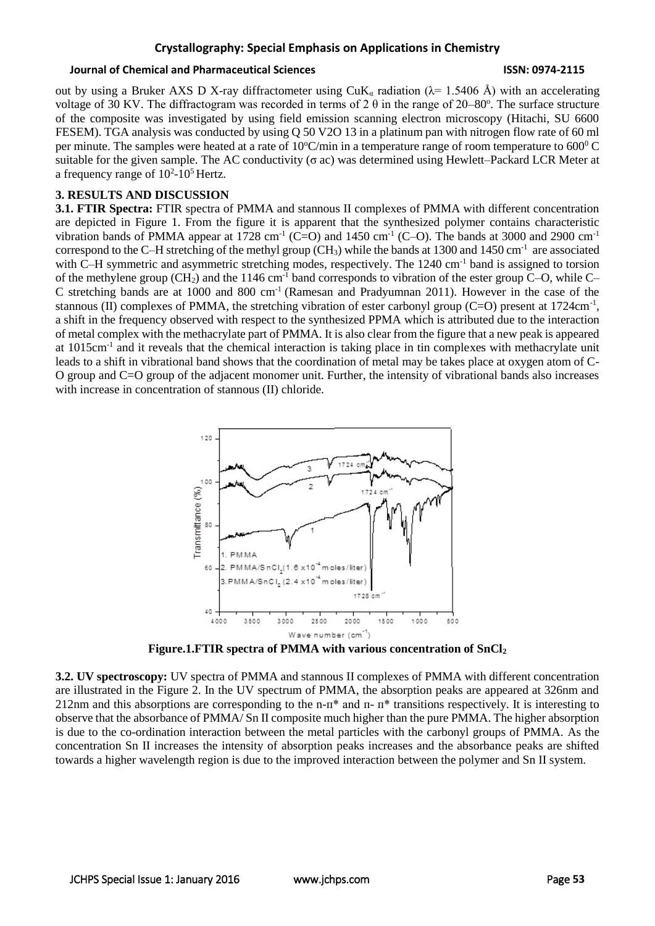### **Crystallography: Special Emphasis on Applications in Chemistry**

#### **Journal of Chemical and Pharmaceutical Sciences ISSN: 0974-2115**

out by using a Bruker AXS D X-ray diffractometer using  $CuK_\alpha$  radiation ( $\lambda = 1.5406$  Å) with an accelerating voltage of 30 KV. The diffractogram was recorded in terms of 2 $\theta$  in the range of 20–80°. The surface structure of the composite was investigated by using field emission scanning electron microscopy (Hitachi, SU 6600 FESEM). TGA analysis was conducted by using Q 50 V2O 13 in a platinum pan with nitrogen flow rate of 60 ml per minute. The samples were heated at a rate of  $10^{\circ}$ C/min in a temperature range of room temperature to 600<sup>0</sup> C suitable for the given sample. The AC conductivity ( $\sigma$  ac) was determined using Hewlett–Packard LCR Meter at a frequency range of  $10^2$ -10<sup>5</sup> Hertz.

#### **3. RESULTS AND DISCUSSION**

**3.1. FTIR Spectra:** FTIR spectra of PMMA and stannous II complexes of PMMA with different concentration are depicted in Figure 1. From the figure it is apparent that the synthesized polymer contains characteristic vibration bands of PMMA appear at 1728 cm<sup>-1</sup> (C=O) and 1450 cm<sup>-1</sup> (C–O). The bands at 3000 and 2900 cm<sup>-1</sup> correspond to the C-H stretching of the methyl group (CH<sub>3</sub>) while the bands at 1300 and 1450 cm<sup>-1</sup> are associated with C–H symmetric and asymmetric stretching modes, respectively. The 1240 cm<sup>-1</sup> band is assigned to torsion of the methylene group (CH2) and the 1146 cm-1 band corresponds to vibration of the ester group C–O, while C– C stretching bands are at 1000 and 800 cm<sup>-1</sup> (Ramesan and Pradyumnan 2011). However in the case of the stannous (II) complexes of PMMA, the stretching vibration of ester carbonyl group (C=O) present at  $1724 \text{cm}^{-1}$ , a shift in the frequency observed with respect to the synthesized PPMA which is attributed due to the interaction of metal complex with the methacrylate part of PMMA. It is also clear from the figure that a new peak is appeared at 1015cm<sup>-1</sup> and it reveals that the chemical interaction is taking place in tin complexes with methacrylate unit leads to a shift in vibrational band shows that the coordination of metal may be takes place at oxygen atom of C-O group and C=O group of the adjacent monomer unit. Further, the intensity of vibrational bands also increases with increase in concentration of stannous (II) chloride.



**Figure.1.FTIR spectra of PMMA with various concentration of SnCl<sup>2</sup>**

**3.2. UV spectroscopy:** UV spectra of PMMA and stannous II complexes of PMMA with different concentration are illustrated in the Figure 2. In the UV spectrum of PMMA, the absorption peaks are appeared at 326nm and 212nm and this absorptions are corresponding to the n- $\pi^*$  and  $\pi$ - $\pi^*$  transitions respectively. It is interesting to observe that the absorbance of PMMA/ Sn II composite much higher than the pure PMMA. The higher absorption is due to the co-ordination interaction between the metal particles with the carbonyl groups of PMMA. As the concentration Sn II increases the intensity of absorption peaks increases and the absorbance peaks are shifted towards a higher wavelength region is due to the improved interaction between the polymer and Sn II system.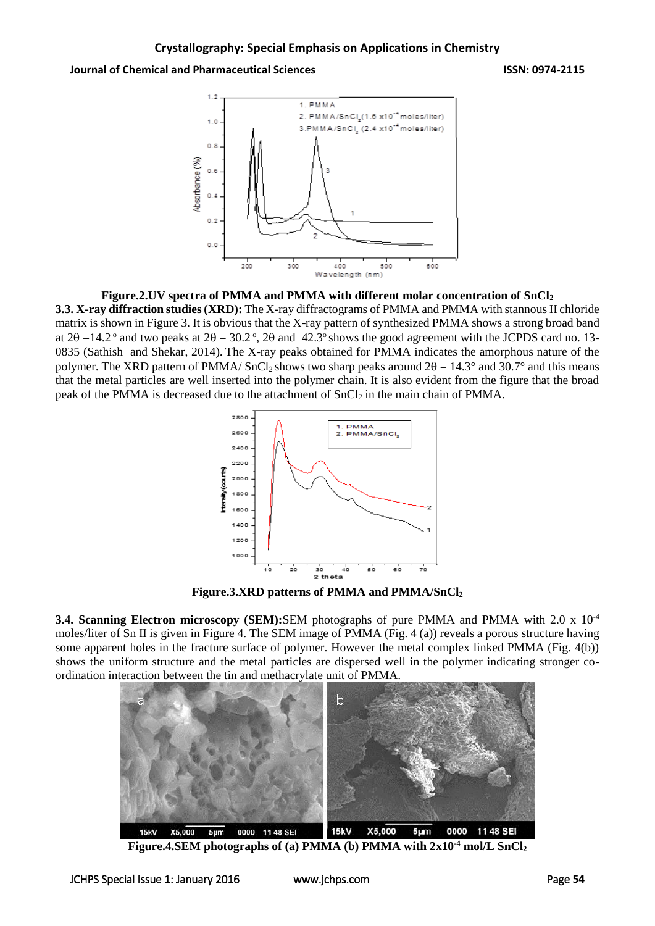#### **Journal of Chemical and Pharmaceutical Sciences ISSN: 0974-2115**



#### **Figure.2.UV spectra of PMMA and PMMA with different molar concentration of SnCl<sup>2</sup>**

**3.3. X-ray diffraction studies (XRD):** The X-ray diffractograms of PMMA and PMMA with stannous II chloride matrix is shown in Figure 3. It is obvious that the X-ray pattern of synthesized PMMA shows a strong broad band at  $2\theta = 14.2$ <sup>o</sup> and two peaks at  $2\theta = 30.2$ <sup>o</sup>,  $2\theta$  and 42.3<sup>o</sup> shows the good agreement with the JCPDS card no. 13-0835 (Sathish and Shekar, 2014). The X-ray peaks obtained for PMMA indicates the amorphous nature of the polymer. The XRD pattern of PMMA/ SnCl<sub>2</sub> shows two sharp peaks around  $2\theta = 14.3^\circ$  and 30.7° and this means that the metal particles are well inserted into the polymer chain. It is also evident from the figure that the broad peak of the PMMA is decreased due to the attachment of SnCl<sup>2</sup> in the main chain of PMMA.



**Figure.3.XRD patterns of PMMA and PMMA/SnCl<sup>2</sup>**

**3.4. Scanning Electron microscopy (SEM):**SEM photographs of pure PMMA and PMMA with 2.0 x 10-4 moles/liter of Sn II is given in Figure 4. The SEM image of PMMA (Fig. 4 (a)) reveals a porous structure having some apparent holes in the fracture surface of polymer. However the metal complex linked PMMA (Fig. 4(b)) shows the uniform structure and the metal particles are dispersed well in the polymer indicating stronger coordination interaction between the tin and methacrylate unit of PMMA.



**Figure.4.SEM photographs of (a) PMMA (b) PMMA with 2x10-4 mol/L SnCl<sup>2</sup>**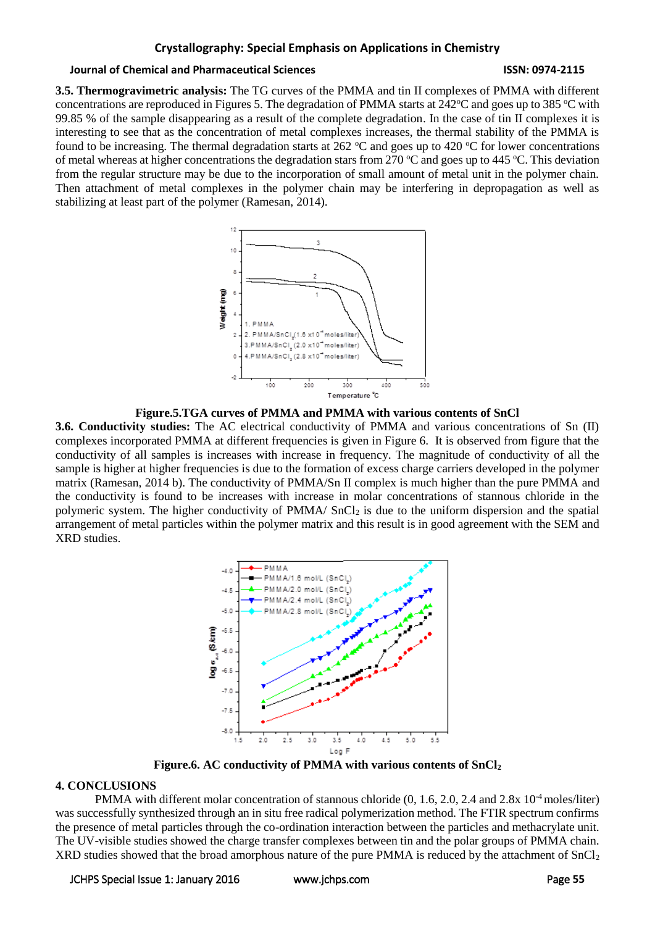### **Crystallography: Special Emphasis on Applications in Chemistry**

#### **Journal of Chemical and Pharmaceutical Sciences ISSN: 0974-2115**

**3.5. Thermogravimetric analysis:** The TG curves of the PMMA and tin II complexes of PMMA with different concentrations are reproduced in Figures 5. The degradation of PMMA starts at  $242^{\circ}$ C and goes up to 385  $^{\circ}$ C with 99.85 % of the sample disappearing as a result of the complete degradation. In the case of tin II complexes it is interesting to see that as the concentration of metal complexes increases, the thermal stability of the PMMA is found to be increasing. The thermal degradation starts at 262  $^{\circ}$ C and goes up to 420  $^{\circ}$ C for lower concentrations of metal whereas at higher concentrations the degradation stars from 270  $\degree$ C and goes up to 445  $\degree$ C. This deviation from the regular structure may be due to the incorporation of small amount of metal unit in the polymer chain. Then attachment of metal complexes in the polymer chain may be interfering in depropagation as well as stabilizing at least part of the polymer (Ramesan, 2014).





**3.6. Conductivity studies:** The AC electrical conductivity of PMMA and various concentrations of Sn (II) complexes incorporated PMMA at different frequencies is given in Figure 6. It is observed from figure that the conductivity of all samples is increases with increase in frequency. The magnitude of conductivity of all the sample is higher at higher frequencies is due to the formation of excess charge carriers developed in the polymer matrix (Ramesan, 2014 b). The conductivity of PMMA/Sn II complex is much higher than the pure PMMA and the conductivity is found to be increases with increase in molar concentrations of stannous chloride in the polymeric system. The higher conductivity of PMMA/ SnCl<sub>2</sub> is due to the uniform dispersion and the spatial arrangement of metal particles within the polymer matrix and this result is in good agreement with the SEM and XRD studies.



**Figure.6. AC conductivity of PMMA with various contents of SnCl<sup>2</sup>**

# **4. CONCLUSIONS**

PMMA with different molar concentration of stannous chloride  $(0, 1.6, 2.0, 2.4, 2.4, 10^{-4}$  moles/liter) was successfully synthesized through an in situ free radical polymerization method. The FTIR spectrum confirms the presence of metal particles through the co-ordination interaction between the particles and methacrylate unit. The UV-visible studies showed the charge transfer complexes between tin and the polar groups of PMMA chain. XRD studies showed that the broad amorphous nature of the pure PMMA is reduced by the attachment of SnCl<sub>2</sub>